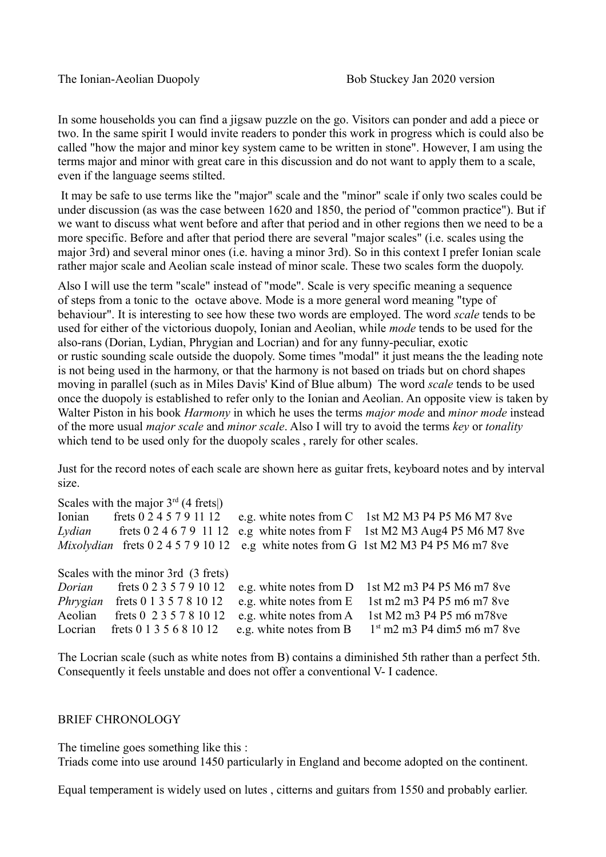In some households you can find a jigsaw puzzle on the go. Visitors can ponder and add a piece or two. In the same spirit I would invite readers to ponder this work in progress which is could also be called "how the major and minor key system came to be written in stone". However, I am using the terms major and minor with great care in this discussion and do not want to apply them to a scale, even if the language seems stilted.

It may be safe to use terms like the "major" scale and the "minor" scale if only two scales could be under discussion (as was the case between 1620 and 1850, the period of "common practice"). But if we want to discuss what went before and after that period and in other regions then we need to be a more specific. Before and after that period there are several "major scales" (i.e. scales using the major 3rd) and several minor ones (i.e. having a minor 3rd). So in this context I prefer Ionian scale rather major scale and Aeolian scale instead of minor scale. These two scales form the duopoly.

Also I will use the term "scale" instead of "mode". Scale is very specific meaning a sequence of steps from a tonic to the octave above. Mode is a more general word meaning "type of behaviour". It is interesting to see how these two words are employed. The word *scale* tends to be used for either of the victorious duopoly, Ionian and Aeolian, while *mode* tends to be used for the also-rans (Dorian, Lydian, Phrygian and Locrian) and for any funny-peculiar, exotic or rustic sounding scale outside the duopoly. Some times "modal" it just means the the leading note is not being used in the harmony, or that the harmony is not based on triads but on chord shapes moving in parallel (such as in Miles Davis' Kind of Blue album) The word *scale* tends to be used once the duopoly is established to refer only to the Ionian and Aeolian. An opposite view is taken by Walter Piston in his book *Harmony* in which he uses the terms *major mode* and *minor mode* instead of the more usual *major scale* and *minor scale*. Also I will try to avoid the terms *key* or *tonality* which tend to be used only for the duopoly scales, rarely for other scales.

Just for the record notes of each scale are shown here as guitar frets, keyboard notes and by interval size.

|                                     | Scales with the major $3rd$ (4 frets) |                         |                                                    |
|-------------------------------------|---------------------------------------|-------------------------|----------------------------------------------------|
| Ionian                              | frets 0 2 4 5 7 9 11 12               |                         | e.g. white notes from C 1st M2 M3 P4 P5 M6 M7 8ve  |
| Lydian                              | frets $0\ 2\ 4\ 6\ 7\ 9\ 11\ 12$      |                         | e.g white notes from F 1st M2 M3 Aug4 P5 M6 M7 8ve |
|                                     | Mixolydian frets $0.245791012$        |                         | e.g white notes from G 1st M2 M3 P4 P5 M6 m7 8ve   |
| Scales with the minor 3rd (3 frets) |                                       |                         |                                                    |
| Dorian                              | frets 0 2 3 5 7 9 10 12               | e.g. white notes from D | 1st M2 m3 P4 P5 M6 m7 8ve                          |
| Phrygian                            | frets 0 1 3 5 7 8 10 12               | e.g. white notes from E | 1st m2 m3 P4 P5 m6 m7 8ve                          |
| Aeolian                             | frets 0 2 3 5 7 8 10 12               | e.g. white notes from A | 1st M2 m3 P4 P5 m6 m78ve                           |
| Locrian                             | frets 0 1 3 5 6 8 10 12               | e.g. white notes from B | $1st$ m2 m3 P4 dim5 m6 m7 8ve                      |

The Locrian scale (such as white notes from B) contains a diminished 5th rather than a perfect 5th. Consequently it feels unstable and does not offer a conventional V- I cadence.

## BRIEF CHRONOLOGY

The timeline goes something like this :

Triads come into use around 1450 particularly in England and become adopted on the continent.

Equal temperament is widely used on lutes , citterns and guitars from 1550 and probably earlier.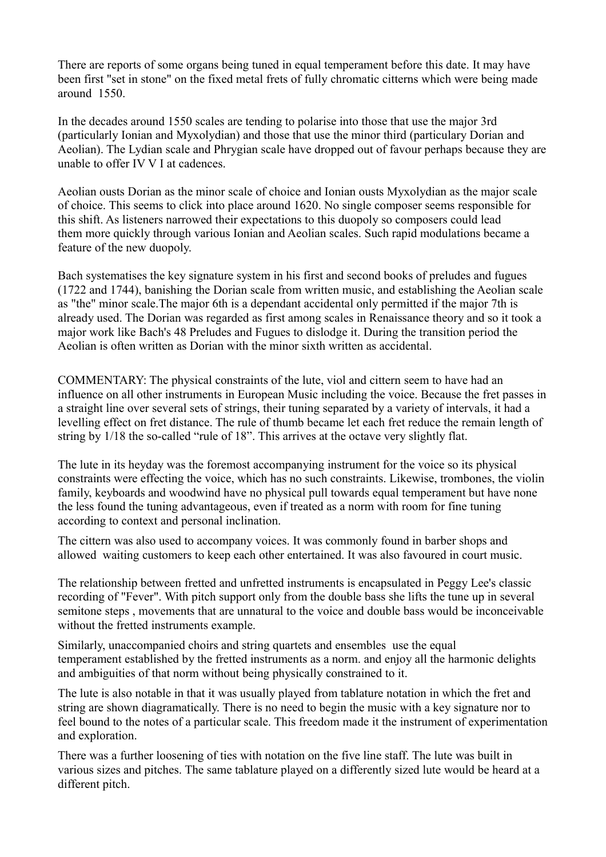There are reports of some organs being tuned in equal temperament before this date. It may have been first "set in stone" on the fixed metal frets of fully chromatic citterns which were being made around 1550.

In the decades around 1550 scales are tending to polarise into those that use the major 3rd (particularly Ionian and Myxolydian) and those that use the minor third (particulary Dorian and Aeolian). The Lydian scale and Phrygian scale have dropped out of favour perhaps because they are unable to offer IV V I at cadences.

Aeolian ousts Dorian as the minor scale of choice and Ionian ousts Myxolydian as the major scale of choice. This seems to click into place around 1620. No single composer seems responsible for this shift. As listeners narrowed their expectations to this duopoly so composers could lead them more quickly through various Ionian and Aeolian scales. Such rapid modulations became a feature of the new duopoly.

Bach systematises the key signature system in his first and second books of preludes and fugues (1722 and 1744), banishing the Dorian scale from written music, and establishing the Aeolian scale as "the" minor scale.The major 6th is a dependant accidental only permitted if the major 7th is already used. The Dorian was regarded as first among scales in Renaissance theory and so it took a major work like Bach's 48 Preludes and Fugues to dislodge it. During the transition period the Aeolian is often written as Dorian with the minor sixth written as accidental.

COMMENTARY: The physical constraints of the lute, viol and cittern seem to have had an influence on all other instruments in European Music including the voice. Because the fret passes in a straight line over several sets of strings, their tuning separated by a variety of intervals, it had a levelling effect on fret distance. The rule of thumb became let each fret reduce the remain length of string by 1/18 the so-called "rule of 18". This arrives at the octave very slightly flat.

The lute in its heyday was the foremost accompanying instrument for the voice so its physical constraints were effecting the voice, which has no such constraints. Likewise, trombones, the violin family, keyboards and woodwind have no physical pull towards equal temperament but have none the less found the tuning advantageous, even if treated as a norm with room for fine tuning according to context and personal inclination.

The cittern was also used to accompany voices. It was commonly found in barber shops and allowed waiting customers to keep each other entertained. It was also favoured in court music.

The relationship between fretted and unfretted instruments is encapsulated in Peggy Lee's classic recording of "Fever". With pitch support only from the double bass she lifts the tune up in several semitone steps , movements that are unnatural to the voice and double bass would be inconceivable without the fretted instruments example.

Similarly, unaccompanied choirs and string quartets and ensembles use the equal temperament established by the fretted instruments as a norm. and enjoy all the harmonic delights and ambiguities of that norm without being physically constrained to it.

The lute is also notable in that it was usually played from tablature notation in which the fret and string are shown diagramatically. There is no need to begin the music with a key signature nor to feel bound to the notes of a particular scale. This freedom made it the instrument of experimentation and exploration.

There was a further loosening of ties with notation on the five line staff. The lute was built in various sizes and pitches. The same tablature played on a differently sized lute would be heard at a different pitch.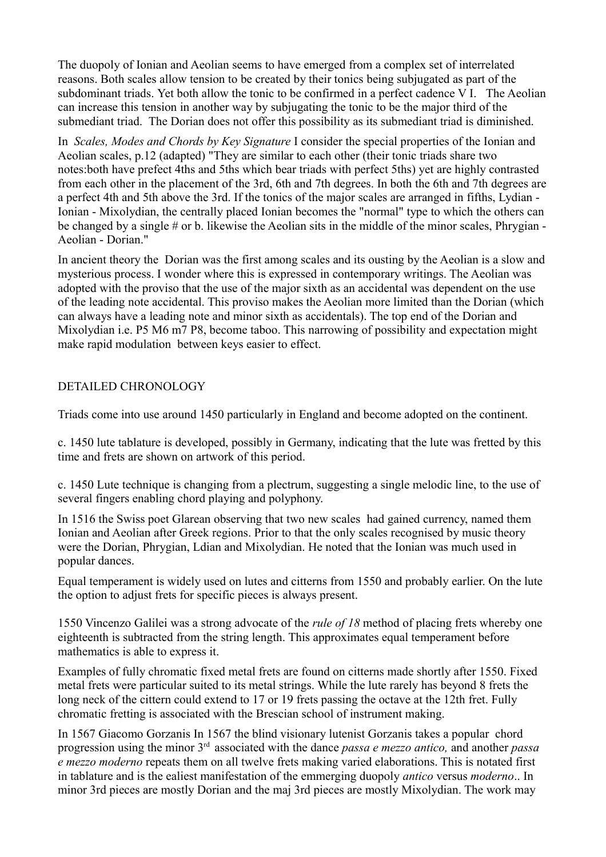The duopoly of Ionian and Aeolian seems to have emerged from a complex set of interrelated reasons. Both scales allow tension to be created by their tonics being subjugated as part of the subdominant triads. Yet both allow the tonic to be confirmed in a perfect cadence V I. The Aeolian can increase this tension in another way by subjugating the tonic to be the major third of the submediant triad. The Dorian does not offer this possibility as its submediant triad is diminished.

In *Scales, Modes and Chords by Key Signature* I consider the special properties of the Ionian and Aeolian scales, p.12 (adapted) "They are similar to each other (their tonic triads share two notes:both have prefect 4ths and 5ths which bear triads with perfect 5ths) yet are highly contrasted from each other in the placement of the 3rd, 6th and 7th degrees. In both the 6th and 7th degrees are a perfect 4th and 5th above the 3rd. If the tonics of the major scales are arranged in fifths, Lydian - Ionian - Mixolydian, the centrally placed Ionian becomes the "normal" type to which the others can be changed by a single # or b. likewise the Aeolian sits in the middle of the minor scales, Phrygian - Aeolian - Dorian."

In ancient theory the Dorian was the first among scales and its ousting by the Aeolian is a slow and mysterious process. I wonder where this is expressed in contemporary writings. The Aeolian was adopted with the proviso that the use of the major sixth as an accidental was dependent on the use of the leading note accidental. This proviso makes the Aeolian more limited than the Dorian (which can always have a leading note and minor sixth as accidentals). The top end of the Dorian and Mixolydian i.e. P5 M6 m7 P8, become taboo. This narrowing of possibility and expectation might make rapid modulation between keys easier to effect.

## DETAILED CHRONOLOGY

Triads come into use around 1450 particularly in England and become adopted on the continent.

c. 1450 lute tablature is developed, possibly in Germany, indicating that the lute was fretted by this time and frets are shown on artwork of this period.

c. 1450 Lute technique is changing from a plectrum, suggesting a single melodic line, to the use of several fingers enabling chord playing and polyphony.

In 1516 the Swiss poet Glarean observing that two new scales had gained currency, named them Ionian and Aeolian after Greek regions. Prior to that the only scales recognised by music theory were the Dorian, Phrygian, Ldian and Mixolydian. He noted that the Ionian was much used in popular dances.

Equal temperament is widely used on lutes and citterns from 1550 and probably earlier. On the lute the option to adjust frets for specific pieces is always present.

1550 Vincenzo Galilei was a strong advocate of the *rule of 18* method of placing frets whereby one eighteenth is subtracted from the string length. This approximates equal temperament before mathematics is able to express it.

Examples of fully chromatic fixed metal frets are found on citterns made shortly after 1550. Fixed metal frets were particular suited to its metal strings. While the lute rarely has beyond 8 frets the long neck of the cittern could extend to 17 or 19 frets passing the octave at the 12th fret. Fully chromatic fretting is associated with the Brescian school of instrument making.

In 1567 Giacomo Gorzanis In 1567 the blind visionary lutenist Gorzanis takes a popular chord progression using the minor 3rd associated with the dance *passa e mezzo antico,* and another *passa e mezzo moderno* repeats them on all twelve frets making varied elaborations. This is notated first in tablature and is the ealiest manifestation of the emmerging duopoly *antico* versus *moderno*.. In minor 3rd pieces are mostly Dorian and the maj 3rd pieces are mostly Mixolydian. The work may